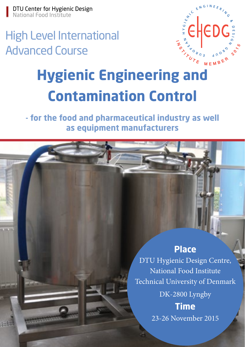### High Level International Advanced Course



## **Hygienic Engineering and Contamination Control**

**- for the food and pharmaceutical industry as well as equipment manufacturers**

#### **Place**

DTU Hygienic Design Centre, National Food Institute Technical University of Denmark

> DK-2800 Lyngby **Time**

23-26 November 2015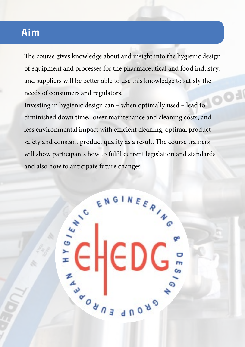#### **Aim**

The course gives knowledge about and insight into the hygienic design of equipment and processes for the pharmaceutical and food industry, and suppliers will be better able to use this knowledge to satisfy the needs of consumers and regulators.

Investing in hygienic design can – when optimally used – lead to diminished down time, lower maintenance and cleaning costs, and less environmental impact with efficient cleaning, optimal product safety and constant product quality as a result. The course trainers and also how to anticipate future changes.

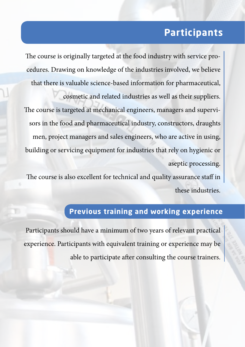### **Participants**

The course is originally targeted at the food industry with service procedures. Drawing on knowledge of the industries involved, we believe that there is valuable science-based information for pharmaceutical, cosmetic and related industries as well as their suppliers. The course is targeted at mechanical engineers, managers and supervisors in the food and pharmaceutical industry, constructors, draughts men, project managers and sales engineers, who are active in using, building or servicing equipment for industries that rely on hygienic or aseptic processing.

The course is also excellent for technical and quality assurance staff in these industries.

#### **Previous training and working experience**

Participants should have a minimum of two years of relevant practical experience. Participants with equivalent training or experience may be able to participate after consulting the course trainers.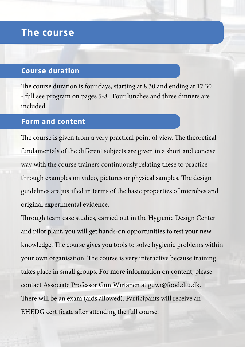#### **The course**

#### **Course duration**

The course duration is four days, starting at 8.30 and ending at 17.30 - full see program on pages 5-8. Four lunches and three dinners are included.

#### **Form and content**

The course is given from a very practical point of view. The theoretical fundamentals of the different subjects are given in a short and concise way with the course trainers continuously relating these to practice through examples on video, pictures or physical samples. The design guidelines are justified in terms of the basic properties of microbes and original experimental evidence.

Through team case studies, carried out in the Hygienic Design Center and pilot plant, you will get hands-on opportunities to test your new knowledge. The course gives you tools to solve hygienic problems within your own organisation. The course is very interactive because training takes place in small groups. For more information on content, please contact Associate Professor Gun Wirtanen at guwi@food.dtu.dk. There will be an exam (aids allowed). Participants will receive an EHEDG certificate after attending the full course.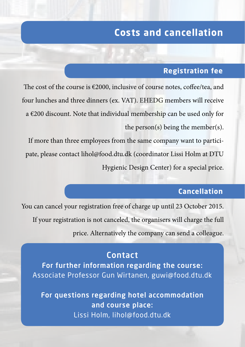### **Costs and cancellation**

#### **Registration fee**

The cost of the course is €2000, inclusive of course notes, coffee/tea, and four lunches and three dinners (ex. VAT). EHEDG members will receive a €200 discount. Note that individual membership can be used only for the person(s) being the member(s).

If more than three employees from the same company want to participate, please contact lihol@food.dtu.dk (coordinator Lissi Holm at DTU Hygienic Design Center) for a special price.

#### **Cancellation**

You can cancel your registration free of charge up until 23 October 2015. If your registration is not canceled, the organisers will charge the full price. Alternatively the company can send a colleague.

#### Contact

For further information regarding the course: Associate Professor Gun Wirtanen, guwi@food.dtu.dk

For questions regarding hotel accommodation and course place: Lissi Holm, lihol@food.dtu.dk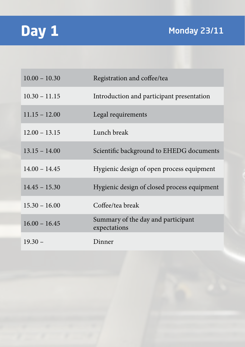### **Day 1**

| $10.00 - 10.30$ | Registration and coffee/tea                        |
|-----------------|----------------------------------------------------|
| $10.30 - 11.15$ | Introduction and participant presentation          |
| $11.15 - 12.00$ | Legal requirements                                 |
| $12.00 - 13.15$ | Lunch break                                        |
| $13.15 - 14.00$ | Scientific background to EHEDG documents           |
| $14.00 - 14.45$ | Hygienic design of open process equipment          |
| $14.45 - 15.30$ | Hygienic design of closed process equipment        |
| $15.30 - 16.00$ | Coffee/tea break                                   |
| $16.00 - 16.45$ | Summary of the day and participant<br>expectations |
| $19.30 -$       | Dinner                                             |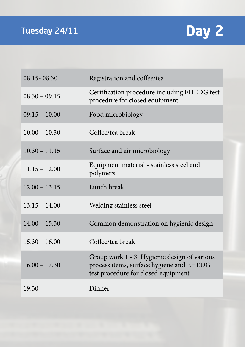

| 08.15 - 08.30   | Registration and coffee/tea                                                                                                     |
|-----------------|---------------------------------------------------------------------------------------------------------------------------------|
| $08.30 - 09.15$ | Certification procedure including EHEDG test<br>procedure for closed equipment                                                  |
| $09.15 - 10.00$ | Food microbiology                                                                                                               |
| $10.00 - 10.30$ | Coffee/tea break                                                                                                                |
| $10.30 - 11.15$ | Surface and air microbiology                                                                                                    |
| $11.15 - 12.00$ | Equipment material - stainless steel and<br>polymers                                                                            |
| $12.00 - 13.15$ | Lunch break                                                                                                                     |
| $13.15 - 14.00$ | Welding stainless steel                                                                                                         |
| $14.00 - 15.30$ | Common demonstration on hygienic design                                                                                         |
| $15.30 - 16.00$ | Coffee/tea break                                                                                                                |
| $16.00 - 17.30$ | Group work 1 - 3: Hygienic design of various<br>process items, surface hygiene and EHEDG<br>test procedure for closed equipment |
| $19.30 -$       | Dinner                                                                                                                          |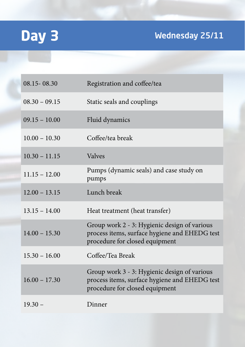# **Day 3** Wednesday 25/11

| 08.15 - 08.30   | Registration and coffee/tea                                                                                                     |
|-----------------|---------------------------------------------------------------------------------------------------------------------------------|
| $08.30 - 09.15$ | Static seals and couplings                                                                                                      |
| $09.15 - 10.00$ | Fluid dynamics                                                                                                                  |
| $10.00 - 10.30$ | Coffee/tea break                                                                                                                |
| $10.30 - 11.15$ | <b>Valves</b>                                                                                                                   |
| $11.15 - 12.00$ | Pumps (dynamic seals) and case study on<br>pumps                                                                                |
| $12.00 - 13.15$ | Lunch break                                                                                                                     |
| $13.15 - 14.00$ | Heat treatment (heat transfer)                                                                                                  |
| $14.00 - 15.30$ | Group work 2 - 3: Hygienic design of various<br>process items, surface hygiene and EHEDG test<br>procedure for closed equipment |
| $15.30 - 16.00$ | Coffee/Tea Break                                                                                                                |
| $16.00 - 17.30$ | Group work 3 - 3: Hygienic design of various<br>process items, surface hygiene and EHEDG test<br>procedure for closed equipment |
| $19.30 -$       | Dinner                                                                                                                          |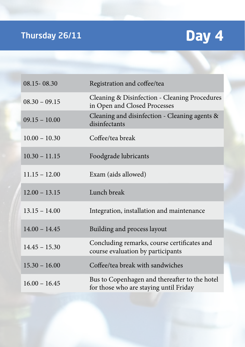# Thursday 26/11 **Day 4**

| 08.15 - 08.30   | Registration and coffee/tea                                                             |
|-----------------|-----------------------------------------------------------------------------------------|
| $08.30 - 09.15$ | Cleaning & Disinfection - Cleaning Procedures<br>in Open and Closed Processes           |
| $09.15 - 10.00$ | Cleaning and disinfection - Cleaning agents &<br>disinfectants                          |
| $10.00 - 10.30$ | Coffee/tea break                                                                        |
| $10.30 - 11.15$ | Foodgrade lubricants                                                                    |
| $11.15 - 12.00$ | Exam (aids allowed)                                                                     |
| $12.00 - 13.15$ | Lunch break                                                                             |
| $13.15 - 14.00$ | Integration, installation and maintenance                                               |
| $14.00 - 14.45$ | Building and process layout                                                             |
| $14.45 - 15.30$ | Concluding remarks, course certificates and<br>course evaluation by participants        |
| $15.30 - 16.00$ | Coffee/tea break with sandwiches                                                        |
| $16.00 - 16.45$ | Bus to Copenhagen and thereafter to the hotel<br>for those who are staying until Friday |